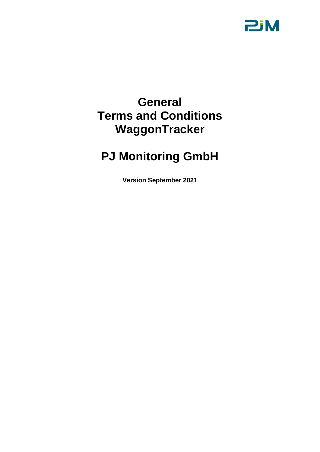

# **General Terms and Conditions WaggonTracker**

# **PJ Monitoring GmbH**

**Version September 2021**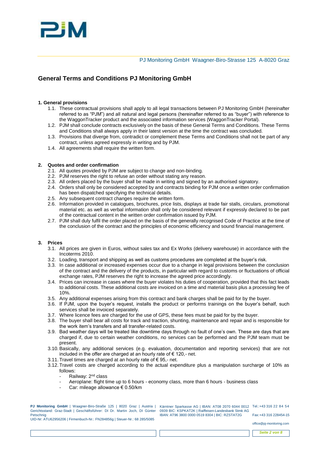

# **General Terms and Conditions PJ Monitoring GmbH**

# **1. General provisions**

- 1.1. These contractual provisions shall apply to all legal transactions between PJ Monitoring GmbH (hereinafter referred to as "PJM") and all natural and legal persons (hereinafter referred to as "buyer") with reference to the WaggonTracker product and the associated information services (WaggonTracker Portal).
- 1.2. PJM shall conclude contracts exclusively on the basis of these General Terms and Conditions. These Terms and Conditions shall always apply in their latest version at the time the contract was concluded.
- 1.3. Provisions that diverge from, contradict or complement these Terms and Conditions shall not be part of any contract, unless agreed expressly in writing and by PJM.
- 1.4. All agreements shall require the written form.

### **2. Quotes and order confirmation**

- 2.1. All quotes provided by PJM are subject to change and non-binding.
- 2.2. PJM reserves the right to refuse an order without stating any reason.
- 2.3. All orders placed by the buyer shall be made in writing and signed by an authorised signatory.
- 2.4. Orders shall only be considered accepted by and contracts binding for PJM once a written order confirmation has been dispatched specifying the technical details.
- 2.5. Any subsequent contract changes require the written form.
- 2.6. Information provided in catalogues, brochures, price lists, displays at trade fair stalls, circulars, promotional material etc. as well as verbal information shall only be considered relevant if expressly declared to be part of the contractual content in the written order confirmation issued by PJM.
- 2.7. PJM shall duly fulfil the order placed on the basis of the generally recognised Code of Practice at the time of the conclusion of the contract and the principles of economic efficiency and sound financial management.

# **3. Prices**

- 3.1. All prices are given in Euros, without sales tax and Ex Works (delivery warehouse) in accordance with the Incoterms 2010.
- 3.2. Loading, transport and shipping as well as customs procedures are completed at the buyer's risk.
- 3.3. In case additional or increased expenses occur due to a change in legal provisions between the conclusion of the contract and the delivery of the products, in particular with regard to customs or fluctuations of official exchange rates, PJM reserves the right to increase the agreed price accordingly.
- 3.4. Prices can increase in cases where the buyer violates his duties of cooperation, provided that this fact leads to additional costs. These additional costs are invoiced on a time and material basis plus a processing fee of 10%.
- 3.5. Any additional expenses arising from this contract and bank charges shall be paid for by the buyer.
- 3.6. If PJM, upon the buyer's request, installs the product or performs trainings on the buyer's behalf, such services shall be invoiced separately.
- 3.7. Where licence fees are charged for the use of GPS, these fees must be paid for by the buyer.
- 3.8. The buyer shall bear all costs for track and traction, shunting, maintenance and repair and is responsible for the work item's transfers and all transfer-related costs.
- 3.9. Bad weather days will be treated like downtime days through no fault of one's own. These are days that are charged if, due to certain weather conditions, no services can be performed and the PJM team must be present.
- 3.10.Basically, any additional services (e.g. evaluation, documentation and reporting services) that are not included in the offer are charged at an hourly rate of € 120,- net.
- 3.11. Travel times are charged at an hourly rate of € 95,- net.
- 3.12. Travel costs are charged according to the actual expenditure plus a manipulation surcharge of 10% as follows:
	- Railway: 2<sup>nd</sup> class
	- Aeroplane: flight time up to 6 hours economy class, more than 6 hours business class
	- Car: mileage allowance € 0.50/km

**PJ Monitoring GmbH** | Waagner-Biro-Straße 125 | 8020 Graz | Austria | Gerichtsstand: Graz-Stadt | Geschäftsführer: DI Dr. Martin Joch, DI Günter Petschnig UID-Nr: ATU62956206 | Firmenbuch-Nr.: FN284856g | Steuer-Nr.: 68 285/5085

Kärntner Sparkasse AG | IBAN: AT08 2070 6044 0012 Tel.:+43 316 22 84 54 0939 BIC: KSPKAT2K | Raiffeisen-Landesbank Stmk AG IBAN: AT96 3800 0000 0519 8304 | BIC: RZSTAT2G

Fax:+43 316 228454-15

office@pj-monitoring.com

*Seite 2 von 8*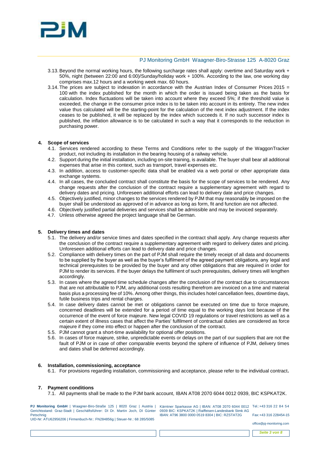

- 3.13.Beyond the normal working hours, the following surcharge rates shall apply: overtime and Saturday work + 50%, night (between 22:00 and 6:00)/Sunday/holiday work + 100%. According to the law, one working day comprises max.12 hours and a working week max. 60 hours.
- 3.14. The prices are subject to indexation in accordance with the Austrian Index of Consumer Prices 2015 = 100 with the index published for the month in which the order is issued being taken as the basis for calculation. Index fluctuations will be taken into account where they exceed 5%; if the threshold value is exceeded, the change in the consumer price index is to be taken into account in its entirety. The new index value thus calculated will be the starting-point for the calculation of the next index adjustment. If the index ceases to be published, it will be replaced by the index which succeeds it. If no such successor index is published, the inflation allowance is to be calculated in such a way that it corresponds to the reduction in purchasing power.

#### **4. Scope of services**

- 4.1. Services rendered according to these Terms and Conditions refer to the supply of the WaggonTracker product, not including its installation in the bearing housing of a railway vehicle.
- 4.2. Support during the initial installation, including on-site training, is available. The buyer shall bear all additional expenses that arise in this context, such as transport, travel expenses etc.
- 4.3. In addition, access to customer-specific data shall be enabled via a web portal or other appropriate data exchange systems.
- 4.4. In all cases, the concluded contract shall constitute the basis for the scope of services to be rendered. Any change requests after the conclusion of the contract require a supplementary agreement with regard to delivery dates and pricing. Unforeseen additional efforts can lead to delivery date and price changes.
- 4.5. Objectively justified, minor changes to the services rendered by PJM that may reasonably be imposed on the buyer shall be understood as approved of in advance as long as form, fit and function are not affected.
- 4.6. Objectively justified partial deliveries and services shall be admissible and may be invoiced separately.
- 4.7. Unless otherwise agreed the project language shall be German.

#### **5. Delivery times and dates**

- 5.1. The delivery and/or service times and dates specified in the contract shall apply. Any change requests after the conclusion of the contract require a supplementary agreement with regard to delivery dates and pricing. Unforeseen additional efforts can lead to delivery date and price changes.
- 5.2. Compliance with delivery times on the part of PJM shall require the timely receipt of all data and documents to be supplied by the buyer as well as the buyer's fulfilment of the agreed payment obligations, any legal and technical prerequisites to be provided by the buyer and any other obligations that are required in order for PJM to render its services. If the buyer delays the fulfilment of such prerequisites, delivery times will lengthen accordingly.
- 5.3. In cases where the agreed time schedule changes after the conclusion of the contract due to circumstances that are not attributable to PJM, any additional costs resulting therefrom are invoiced on a time and material basis plus a processing fee of 10%. Among other things, this includes hotel cancellation fees, downtime days, futile business trips and rental charges.
- 5.4. In case delivery dates cannot be met or obligations cannot be executed on time due to force majeure, concerned deadlines will be extended for a period of time equal to the working days lost because of the occurrence of the event of force majeure. New legal COVID 19 regulations or travel restrictions as well as a certain extent of illness cases that affect the Parties' fulfilment of contractual duties are considered as force majeure if they come into effect or happen after the conclusion of the contract.
- 5.5. PJM cannot grant a short-time availability for optional offer positions.
- 5.6. In cases of force majeure, strike, unpredictable events or delays on the part of our suppliers that are not the fault of PJM or in case of other comparable events beyond the sphere of influence of PJM, delivery times and dates shall be deferred accordingly.

#### **6. Installation, commissioning, acceptance**

6.1. For provisions regarding installation, commissioning and acceptance, please refer to the individual contract**.**

#### **7. Payment conditions**

7.1. All payments shall be made to the PJM bank account, IBAN AT08 2070 6044 0012 0939, BIC KSPKAT2K.

**PJ Monitoring GmbH** | Waagner-Biro-Straße 125 | 8020 Graz | Austria | Gerichtsstand: Graz-Stadt | Geschäftsführer: DI Dr. Martin Joch, DI Günter Petschnig UID-Nr: ATU62956206 | Firmenbuch-Nr.: FN284856g | Steuer-Nr.: 68 285/5085

Kärntner Sparkasse AG | IBAN: AT08 2070 6044 0012 Tel.:+43 316 22 84 54 0939 BIC: KSPKAT2K | Raiffeisen-Landesbank Stmk AG IBAN: AT96 3800 0000 0519 8304 | BIC: RZSTAT2G

Fax:+43 316 228454-15 office@pj-monitoring.com

*Seite 3 von 8*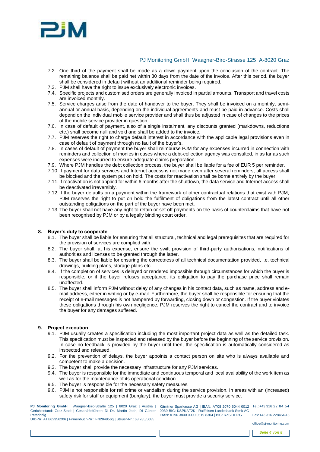

- 7.2. One third of the payment shall be made as a down payment upon the conclusion of the contract. The remaining balance shall be paid net within 30 days from the date of the invoice. After this period, the buyer shall be considered in default without an additional reminder being required.
- 7.3. PJM shall have the right to issue exclusively electronic invoices.
- 7.4. Specific projects and customised orders are generally invoiced in partial amounts. Transport and travel costs are invoiced monthly.
- 7.5. Service charges arise from the date of handover to the buyer. They shall be invoiced on a monthly, semiannual or annual basis, depending on the individual agreements and must be paid in advance. Costs shall depend on the individual mobile service provider and shall thus be adjusted in case of changes to the prices of the mobile service provider in question.
- 7.6. In case of default of payment, also of a single instalment, any discounts granted (markdowns, reductions etc.) shall become null and void and shall be added to the invoice.
- 7.7. PJM reserves the right to charge default interest in accordance with the applicable legal provisions even in case of default of payment through no fault of the buyer's.
- 7.8. In cases of default of payment the buyer shall reimburse PJM for any expenses incurred in connection with reminders and collection of monies in cases where a debt-collection agency was consulted, in as far as such expenses were incurred to ensure adequate claims preparation.
- 7.9. Where PJM handles the debt collection process, the buyer shall be liable for a fee of EUR 5 per reminder.
- 7.10. If payment for data services and Internet access is not made even after several reminders, all access shall be blocked and the system put on hold. The costs for reactivation shall be borne entirely by the buyer.
- 7.11. If reactivation is not applied for within 6 months after the shutdown, the data service and Internet access shall be deactivated irreversibly.
- 7.12. If the buyer defaults on a payment within the framework of other contractual relations that exist with PJM, PJM reserves the right to put on hold the fulfilment of obligations from the latest contract until all other outstanding obligations on the part of the buyer have been met.
- 7.13. The buyer shall not have any right to retain or set off payments on the basis of counterclaims that have not been recognised by PJM or by a legally binding court order.

#### **8. Buyer's duty to cooperate**

- 8.1. The buyer shall be liable for ensuring that all structural, technical and legal prerequisites that are required for the provision of services are complied with.
- 8.2. The buyer shall, at his expense, ensure the swift provision of third-party authorisations, notifications of authorities and licenses to be granted through the latter.
- 8.3. The buyer shall be liable for ensuring the correctness of all technical documentation provided, i.e. technical drawings, building plans, storage plans etc.
- 8.4. If the completion of services is delayed or rendered impossible through circumstances for which the buyer is responsible, or if the buyer refuses acceptance, its obligation to pay the purchase price shall remain unaffected.
- 8.5. The buyer shall inform PJM without delay of any changes in his contact data, such as name, address and email address, either in writing or by e-mail. Furthermore, the buyer shall be responsible for ensuring that the receipt of e-mail messages is not hampered by forwarding, closing down or congestion. If the buyer violates these obligations through his own negligence, PJM reserves the right to cancel the contract and to invoice the buyer for any damages suffered.

# **9. Project execution**

- 9.1. PJM usually creates a specification including the most important project data as well as the detailed task. This specification must be inspected and released by the buyer before the beginning of the service provision. In case no feedback is provided by the buyer until then, the specification is automatically considered as inspected and released.
- 9.2. For the prevention of delays, the buyer appoints a contact person on site who is always available and competent to make a decision.
- 9.3. The buyer shall provide the necessary infrastructure for any PJM services.
- 9.4. The buyer is responsible for the immediate and continuous temporal and local availability of the work item as well as for the maintenance of its operational condition.
- 9.5. The buyer is responsible for the necessary safety measures.
- 9.6. PJM is not responsible for rail crime or vandalism during the service provision. In areas with an (increased) safety risk for staff or equipment (burglary), the buyer must provide a security service.

**PJ Monitoring GmbH** | Waagner-Biro-Straße 125 | 8020 Graz | Austria | Gerichtsstand: Graz-Stadt | Geschäftsführer: DI Dr. Martin Joch, DI Günter Petschnig UID-Nr: ATU62956206 | Firmenbuch-Nr.: FN284856g | Steuer-Nr.: 68 285/5085

Kärntner Sparkasse AG | IBAN: AT08 2070 6044 0012 Tel.:+43 316 22 84 54 0939 BIC: KSPKAT2K | Raiffeisen-Landesbank Stmk AG IBAN: AT96 3800 0000 0519 8304 | BIC: RZSTAT2G Fax:+43 316 228454-15

office@pj-monitoring.com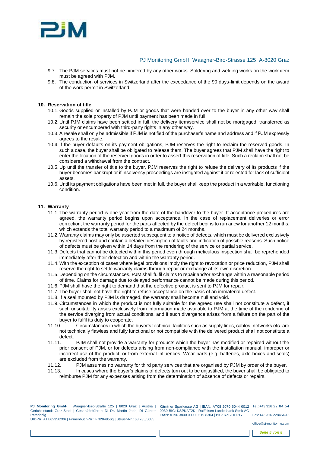

- 9.7. The PJM services must not be hindered by any other works. Soldering and welding works on the work item must be agreed with PJM.
- 9.8. The conduction of services in Switzerland after the exceedance of the 90 days-limit depends on the award of the work permit in Switzerland.

#### **10. Reservation of title**

- 10.1. Goods supplied or installed by PJM or goods that were handed over to the buyer in any other way shall remain the sole property of PJM until payment has been made in full.
- 10.2. Until PJM claims have been settled in full, the delivery item/service shall not be mortgaged, transferred as security or encumbered with third-party rights in any other way.
- 10.3.A resale shall only be admissible if PJM is notified of the purchaser's name and address and if PJM expressly agrees to the resale.
- 10.4. If the buyer defaults on its payment obligations, PJM reserves the right to reclaim the reserved goods. In such a case, the buyer shall be obligated to release them. The buyer agrees that PJM shall have the right to enter the location of the reserved goods in order to assert this reservation of title. Such a reclaim shall not be considered a withdrawal from the contract.
- 10.5. Up until the transfer of title to the buyer, PJM reserves the right to refuse the delivery of its products if the buyer becomes bankrupt or if insolvency proceedings are instigated against it or rejected for lack of sufficient assets.
- 10.6. Until its payment obligations have been met in full, the buyer shall keep the product in a workable, functioning condition.

#### **11. Warranty**

- 11.1. The warranty period is one year from the date of the handover to the buyer. If acceptance procedures are agreed, the warranty period begins upon acceptance. In the case of replacement deliveries or error correction, the warranty period for the parts affected by the defect begins to run anew for another 12 months, which extends the total warranty period to a maximum of 24 months.
- 11.2. Warranty claims may only be asserted subsequent to a notice of defects, which must be delivered exclusively by registered post and contain a detailed description of faults and indication of possible reasons. Such notice of defects must be given within 14 days from the rendering of the service or partial service.
- 11.3. Defects that cannot be detected within this period even through meticulous inspection shall be reprehended immediately after their detection and within the warranty period.
- 11.4. With the exception of cases where legal provisions imply the right to revocation or price reduction, PJM shall reserve the right to settle warranty claims through repair or exchange at its own discretion.
- 11.5. Depending on the circumstances, PJM shall fulfil claims to repair and/or exchange within a reasonable period of time. Claims for damage due to delayed performance cannot be made during this period.
- 11.6.PJM shall have the right to demand that the defective product is sent to PJM for repair.
- 11.7. The buyer shall not have the right to refuse acceptance on the basis of an immaterial defect.
- 11.8. If a seal mounted by PJM is damaged, the warranty shall become null and void.
- 11.9. Circumstances in which the product is not fully suitable for the agreed use shall not constitute a defect, if such unsuitability arises exclusively from information made available to PJM at the time of the rendering of the service diverging from actual conditions, and if such divergence arises from a failure on the part of the buyer to fulfil its duty to cooperate.
- 11.10. Circumstances in which the buyer's technical facilities such as supply lines, cables, networks etc. are not technically flawless and fully functional or not compatible with the delivered product shall not constitute a defect.
- 11.11. PJM shall not provide a warranty for products which the buyer has modified or repaired without the prior consent of PJM, or for defects arising from non-compliance with the installation manual, improper or incorrect use of the product, or from external influences. Wear parts (e.g. batteries, axle-boxes and seals) are excluded from the warranty.
- 11.12. PJM assumes no warranty for third party services that are organised by PJM by order of the buyer.
- 11.13. In cases where the buyer's claims of defects turn out to be unjustified, the buyer shall be obligated to reimburse PJM for any expenses arising from the determination of absence of defects or repairs.

**PJ Monitoring GmbH** | Waagner-Biro-Straße 125 | 8020 Graz | Austria | Gerichtsstand: Graz-Stadt | Geschäftsführer: DI Dr. Martin Joch, DI Günter Petschnig UID-Nr: ATU62956206 | Firmenbuch-Nr.: FN284856g | Steuer-Nr.: 68 285/5085

Kärntner Sparkasse AG | IBAN: AT08 2070 6044 0012 Tel.:+43 316 22 84 54 0939 BIC: KSPKAT2K | Raiffeisen-Landesbank Stmk AG IBAN: AT96 3800 0000 0519 8304 | BIC: RZSTAT2G

Fax:+43 316 228454-15 office@pj-monitoring.com

*Seite 5 von 8*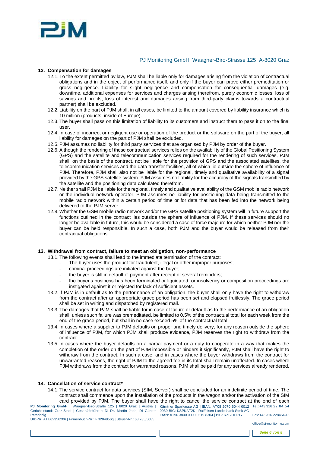

#### **12. Compensation for damages**

- 12.1. To the extent permitted by law, PJM shall be liable only for damages arising from the violation of contractual obligations and in the object of performance itself, and only if the buyer can prove either premeditation or gross negligence. Liability for slight negligence and compensation for consequential damages (e.g. downtime, additional expenses for services and charges arising therefrom, purely economic losses, loss of savings and profits, loss of interest and damages arising from third-party claims towards a contractual partner) shall be excluded.
- 12.2. Liability on the part of PJM shall, in all cases, be limited to the amount covered by liability insurance which is 10 million (products, inside of Europe).
- 12.3. The buyer shall pass on this limitation of liability to its customers and instruct them to pass it on to the final user.
- 12.4. In case of incorrect or negligent use or operation of the product or the software on the part of the buyer, all liability for damages on the part of PJM shall be excluded.
- 12.5.PJM assumes no liability for third party services that are organised by PJM by order of the buyer.
- 12.6.Although the rendering of these contractual services relies on the availability of the Global Positioning System (GPS) and the satellite and telecommunication services required for the rendering of such services, PJM shall, on the basis of the contract, not be liable for the provision of GPS and the associated satellites, the telecommunication services and the data transfer facilities, all of which lie outside the sphere of influence of PJM. Therefore, PJM shall also not be liable for the regional, timely and qualitative availability of a signal provided by the GPS satellite system. PJM assumes no liability for the accuracy of the signals transmitted by the satellite and the positioning data calculated therefrom.
- 12.7. Neither shall PJM be liable for the regional, timely and qualitative availability of the GSM mobile radio network or the individual network operator. PJM assumes no liability for positioning data being transmitted to the mobile radio network within a certain period of time or for data that has been fed into the network being delivered to the PJM server.
- 12.8. Whether the GSM mobile radio network and/or the GPS satellite positioning system will in future support the functions outlined in the contract lies outside the sphere of influence of PJM. If these services should no longer be available in future, this would be considered a case of force majeure for which neither PJM nor the buyer can be held responsible. In such a case, both PJM and the buyer would be released from their contractual obligations.

#### **13. Withdrawal from contract, failure to meet an obligation, non-performance**

- 13.1. The following events shall lead to the immediate termination of the contract:
	- The buyer uses the product for fraudulent, illegal or other improper purposes;
		- criminal proceedings are initiated against the buyer;
		- the buyer is still in default of payment after receipt of several reminders;
		- the buyer's business has been terminated or liquidated, or insolvency or composition proceedings are instigated against it or rejected for lack of sufficient assets.
- 13.2. If PJM is in default as to the performance of an obligation, the buyer shall only have the right to withdraw from the contract after an appropriate grace period has been set and elapsed fruitlessly. The grace period shall be set in writing and dispatched by registered mail.
- 13.3. The damages that PJM shall be liable for in case of failure or default as to the performance of an obligation shall, unless such failure was premeditated, be limited to 0.5% of the contractual total for each week from the end of the grace period, but shall in no case exceed 5% of the contractual total.
- 13.4. In cases where a supplier to PJM defaults on proper and timely delivery, for any reason outside the sphere of influence of PJM, for which PJM shall produce evidence, PJM reserves the right to withdraw from the contract.
- 13.5. In cases where the buyer defaults on a partial payment or a duty to cooperate in a way that makes the completion of the order on the part of PJM impossible or hinders it significantly, PJM shall have the right to withdraw from the contract. In such a case, and in cases where the buyer withdraws from the contract for unwarranted reasons, the right of PJM to the agreed fee in its total shall remain unaffected. In cases where PJM withdraws from the contract for warranted reasons, PJM shall be paid for any services already rendered.

#### **14. Cancellation of service contract\***

14.1. The service contract for data services (SIM, Server) shall be concluded for an indefinite period of time. The contract shall commence upon the installation of the products in the wagon and/or the activation of the SIM card provided by PJM. The buyer shall have the right to cancel the service contract at the end of each

**PJ Monitoring GmbH** | Waagner-Biro-Straße 125 | 8020 Graz | Austria | Kärntner Sparkasse AG | IBAN: AT08 2070 6044 0012 Tel.:+43 316 22 84 54 Gerichtsstand: Graz-Stadt | Geschäftsführer: DI Dr. Martin Joch, DI Günter Petschnig UID-Nr: ATU62956206 | Firmenbuch-Nr.: FN284856g | Steuer-Nr.: 68 285/5085

0939 BIC: KSPKAT2K | Raiffeisen-Landesbank Stmk AG IBAN: AT96 3800 0000 0519 8304 | BIC: RZSTAT2G Fax:+43 316 228454-15

office@pj-monitoring.com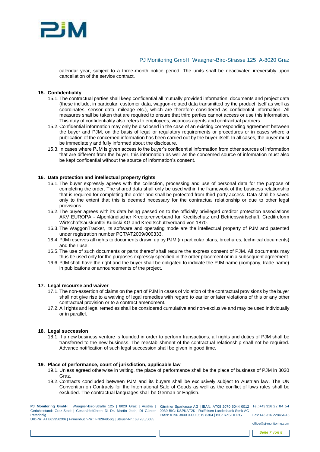

calendar year, subject to a three-month notice period. The units shall be deactivated irreversibly upon cancellation of the service contract.

#### **15. Confidentiality**

- 15.1. The contractual parties shall keep confidential all mutually provided information, documents and project data (these include, in particular, customer data, waggon-related data transmitted by the product itself as well as coordinates, sensor data, mileage etc.), which are therefore considered as confidential information. All measures shall be taken that are required to ensure that third parties cannot access or use this information. This duty of confidentiality also refers to employees, vicarious agents and contractual partners.
- 15.2. Confidential information may only be disclosed in the case of an existing corresponding agreement between the buyer and PJM, on the basis of legal or regulatory requirements or procedures or in cases where a publication of the concerned information has been carried out by the buyer itself. In all cases, the buyer must be immediately and fully informed about the disclosure.
- 15.3. In cases where PJM is given access to the buyer's confidential information from other sources of information that are different from the buyer, this information as well as the concerned source of information must also be kept confidential without the source of information's consent.

#### **16. Data protection and intellectual property rights**

- 16.1. The buyer expressly agrees with the collection, processing and use of personal data for the purpose of completing the order. The shared data shall only be used within the framework of the business relationship that is required for completing the order and shall be protected from third-party access. Data shall be saved only to the extent that this is deemed necessary for the contractual relationship or due to other legal provisions.
- 16.2. The buyer agrees with its data being passed on to the officially privileged creditor protection associations AKV EUROPA - Alpenländischer Kreditorenverband für Kreditschutz und Betriebswirtschaft, Creditreform Wirtschaftsauskunftei Kubicki KG and Kreditschutzverband von 1870.
- 16.3. The WaggonTracker, its software and operating mode are the intellectual property of PJM and patented under registration number PCT/AT2009/000333.
- 16.4.PJM reserves all rights to documents drawn up by PJM (in particular plans, brochures, technical documents) and their use.
- 16.5. The use of such documents or parts thereof shall require the express consent of PJM. All documents may thus be used only for the purposes expressly specified in the order placement or in a subsequent agreement.
- 16.6.PJM shall have the right and the buyer shall be obligated to indicate the PJM name (company, trade name) in publications or announcements of the project.

#### **17. Legal recourse and waiver**

- 17.1. The non-assertion of claims on the part of PJM in cases of violation of the contractual provisions by the buyer shall not give rise to a waiving of legal remedies with regard to earlier or later violations of this or any other contractual provision or to a contract amendment.
- 17.2.All rights and legal remedies shall be considered cumulative and non-exclusive and may be used individually or in parallel.

#### **18. Legal succession**

18.1. If a new business venture is founded in order to perform transactions, all rights and duties of PJM shall be transferred to the new business. The reestablishment of the contractual relationship shall not be required. Advance notification of such legal succession shall be given in good time.

#### **19. Place of performance, court of jurisdiction, applicable law**

- 19.1. Unless agreed otherwise in writing, the place of performance shall be the place of business of PJM in 8020 Graz.
- 19.2. Contracts concluded between PJM and its buyers shall be exclusively subject to Austrian law. The UN Convention on Contracts for the International Sale of Goods as well as the conflict of laws rules shall be excluded. The contractual languages shall be German or English.

**PJ Monitoring GmbH** | Waagner-Biro-Straße 125 | 8020 Graz | Austria | Gerichtsstand: Graz-Stadt | Geschäftsführer: DI Dr. Martin Joch, DI Günter Petschnig UID-Nr: ATU62956206 | Firmenbuch-Nr.: FN284856g | Steuer-Nr.: 68 285/5085

Kärntner Sparkasse AG | IBAN: AT08 2070 6044 0012 Tel.:+43 316 22 84 54 0939 BIC: KSPKAT2K | Raiffeisen-Landesbank Stmk AG IBAN: AT96 3800 0000 0519 8304 | BIC: RZSTAT2G

Fax:+43 316 228454-15

office@pj-monitoring.com